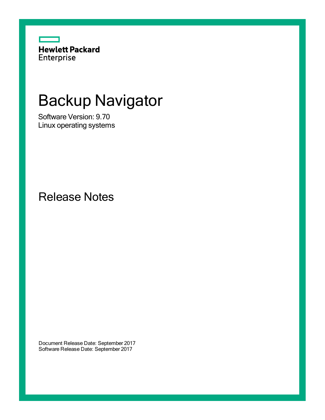

# Backup Navigator

Software Version: 9.70 Linux operating systems

Release Notes

Document Release Date: September 2017 Software Release Date: September 2017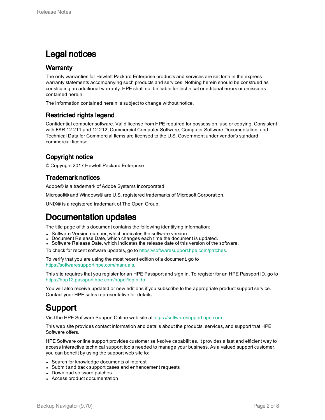#### Legal notices

#### **Warranty**

The only warranties for Hewlett Packard Enterprise products and services are set forth in the express warranty statements accompanying such products and services. Nothing herein should be construed as constituting an additional warranty. HPE shall not be liable for technical or editorial errors or omissions contained herein.

The information contained herein is subject to change without notice.

#### Restricted rights legend

Confidential computer software. Valid license from HPE required for possession, use or copying. Consistent with FAR 12.211 and 12.212, Commercial Computer Software, Computer Software Documentation, and Technical Data for Commercial Items are licensed to the U.S. Government under vendor's standard commercial license.

#### Copyright notice

© Copyright 2017 Hewlett Packard Enterprise

#### Trademark notices

Adobe® is a trademark of Adobe Systems Incorporated.

Microsoft® and Windows® are U.S. registered trademarks of Microsoft Corporation.

UNIX® is a registered trademark of The Open Group.

#### Documentation updates

The title page of this document contains the following identifying information:

- Software Version number, which indicates the software version.
- Document Release Date, which changes each time the document is updated.
- Software Release Date, which indicates the release date of this version of the software.
- To check for recent software updates, go to <https://softwaresupport.hpe.com/patches>.

To verify that you are using the most recent edition of a document, go to [https://softwaresupport.hpe.com/manuals.](https://softwaresupport.hpe.com/manuals)

This site requires that you register for an HPE Passport and sign in. To register for an HPE Passport ID, go to [https://hpp12.passport.hpe.com/hppcf/login.do.](https://hpp12.passport.hpe.com/hppcf/login.do)

You will also receive updated or new editions if you subscribe to the appropriate product support service. Contact your HPE sales representative for details.

### Support

Visit the HPE Software Support Online web site at [https://softwaresupport.hpe.com](https://softwaresupport.hpe.com/).

This web site provides contact information and details about the products, services, and support that HPE Software offers.

HPE Software online support provides customer self-solve capabilities. It provides a fast and efficient way to access interactive technical support tools needed to manage your business. As a valued support customer, you can benefit by using the support web site to:

- Search for knowledge documents of interest
- Submit and track support cases and enhancement requests
- Download software patches
- Access product documentation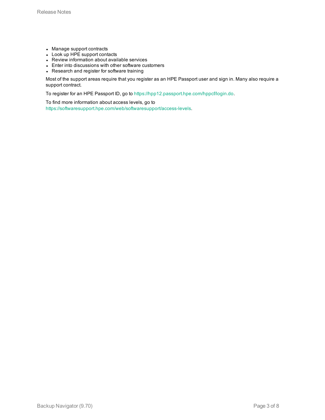- Manage support contracts
- Look up HPE support contacts
- Review information about available services
- Enter into discussions with other software customers
- Research and register for software training

Most of the support areas require that you register as an HPE Passport user and sign in. Many also require a support contract.

To register for an HPE Passport ID, go to <https://hpp12.passport.hpe.com/hppcf/login.do>.

To find more information about access levels, go to <https://softwaresupport.hpe.com/web/softwaresupport/access-levels>.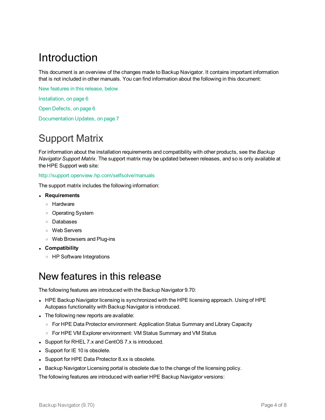### Introduction

This document is an overview of the changes made to Backup Navigator. It contains important information that is not included in other manuals. You can find information about the following in this document:

New [features](#page-3-0) in this release, below

[Installation,](#page-5-0) on page 6

Open [Defects,](#page-5-1) on page 6

[Documentation](#page-6-0) Updates, on page 7

### Support Matrix

For information about the installation requirements and compatibility with other products, see the *Backup Navigator Support Matrix*. The support matrix may be updated between releases, and so is only available at the HPE Support web site:

#### <http://support.openview.hp.com/selfsolve/manuals>

The support matrix includes the following information:

- <sup>l</sup> **Requirements**
	- <sup>o</sup> Hardware
	- <sup>o</sup> Operating System
	- <sup>o</sup> Databases
	- <sup>o</sup> Web Servers
	- <sup>o</sup> Web Browsers and Plug-ins
- <sup>l</sup> **Compatibility**
	- <sup>o</sup> HP Software Integrations

### <span id="page-3-0"></span>New features in this release

The following features are introduced with the Backup Navigator 9.70:

- HPE Backup Navigator licensing is synchronized with the HPE licensing approach. Using of HPE Autopass functionality with Backup Navigator is introduced.
- The following new reports are available:
	- For HPE Data Protector environment: Application Status Summary and Library Capacity
	- <sup>o</sup> For HPE VM Explorer environment: VM Status Summary and VM Status
- Support for RHEL 7.x and CentOS 7.x is introduced.
- $\bullet$  Support for IE 10 is obsolete.
- Support for HPE Data Protector 8.xx is obsolete.
- Backup Navigator Licensing portal is obsolete due to the change of the licensing policy.

The following features are introduced with earlier HPE Backup Navigator versions: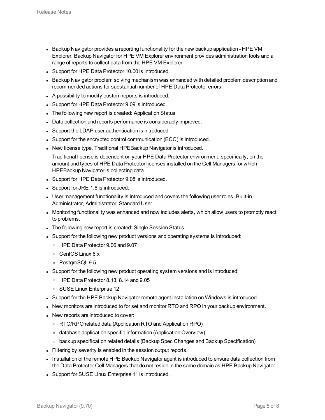- Backup Navigator provides a reporting functionality for the new backup application HPE VM Explorer. Backup Navigator for HPE VM Explorer environment provides administration tools and a range of reports to collect data from the HPE VM Explorer.
- Support for HPE Data Protector 10.00 is introduced.
- Backup Navigator problem solving mechanism was enhanced with detailed problem description and recommended actions for substantial number of HPE Data Protector errors.
- A possibility to modify custom reports is introduced.
- Support for HPE Data Protector 9.09 is introduced.
- The following new report is created: Application Status
- Data collection and reports performance is considerably improved.
- Support the LDAP user authentication is introduced.
- Support for the encrypted control communication (ECC) is introduced.
- New license type, Traditional HPEBackup Navigator is introduced.

Traditional license is dependent on your HPE Data Protector environment, specifically, on the amount and types of HPE Data Protector licenses installed on the Cell Managers for which HPEBackup Navigator is collecting data.

- Support for HPE Data Protector 9.08 is introduced.
- Support for JRE 1.8 is introduced.
- User management functionality is introduced and covers the following user roles: Built-in Administrator, Administrator, Standard User.
- Monitoring functionality was enhanced and now includes alerts, which allow users to promptly react to problems.
- The following new report is created: Single Session Status.
- Support for the following new product versions and operating systems is introduced:
	- <sup>o</sup> HPE Data Protector 9.06 and 9.07
	- <sup>o</sup> CentOS Linux 6.x
	- <sup>o</sup> PostgreSQL 9.5
- Support for the following new product operating system versions and is introduced:
	- <sup>o</sup> HPE Data Protector 8.13, 8.14 and 9.05
	- <sup>o</sup> SUSE Linux Enterprise 12
- Support for the HPE Backup Navigator remote agent installation on Windows is introduced.
- New monitors are introduced to for set and monitor RTO and RPO in your backup environment.
- New reports are introduced to cover:
	- <sup>o</sup> RTO/RPO related data (Application RTO and Application RPO)
	- <sup>o</sup> database application specific information (Application Overview)
	- <sup>o</sup> backup specification related details (Backup Spec Changes and Backup Specification)
- Filtering by severity is enabled in the session output reports.
- Installation of the remote HPE Backup Navigator agent is introduced to ensure data collection from the Data Protector Cell Managers that do not reside in the same domain as HPE Backup Navigator.
- Support for SUSE Linux Enterprise 11 is introduced.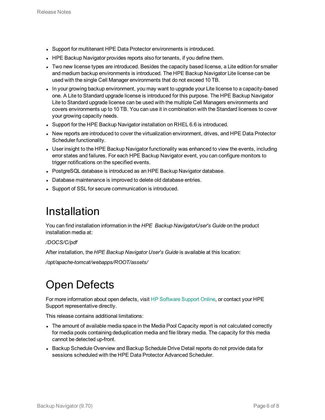- Support for multitenant HPE Data Protector environments is introduced.
- HPE Backup Navigator provides reports also for tenants, if you define them.
- Two new license types are introduced. Besides the capacity based license, a Lite edition for smaller and medium backup environments is introduced. The HPE Backup Navigator Lite license can be used with the single Cell Manager environments that do not exceed 10 TB.
- In your growing backup environment, you may want to upgrade your Lite license to a capacity-based one. A Lite to Standard upgrade license is introduced for this purpose. The HPE Backup Navigator Lite to Standard upgrade license can be used with the multiple Cell Managers environments and covers environments up to 10 TB. You can use it in combination with the Standard licenses to cover your growing capacity needs.
- Support for the HPE Backup Navigator installation on RHEL 6.6 is introduced.
- New reports are introduced to cover the virtualization environment, drives, and HPE Data Protector Scheduler functionality.
- User insight to the HPE Backup Navigator functionality was enhanced to view the events, including error states and failures. For each HPE Backup Navigator event, you can configure monitors to trigger notifications on the specified events.
- PostgreSQL database is introduced as an HPE Backup Navigator database.
- Database maintenance is improved to delete old database entries.
- <span id="page-5-0"></span>• Support of SSL for secure communication is introduced.

### Installation

You can find installation information in the *HPE Backup NavigatorUser's Guide* on the product installation media at:

*/DOCS/C/pdf*

After installation, the *HPE Backup Navigator User's Guide* is available at this location:

<span id="page-5-1"></span>*/opt/apache-tomcat/webapps/ROOT/assets/*

### Open Defects

For more information about open defects, visit HP [Software](http://www.hp.com/managementsoftware/support) Support Online, or contact your HPE Support representative directly.

This release contains additional limitations:

- The amount of available media space in the Media Pool Capacity report is not calculated correctly for media pools containing deduplication media and file library media. The capacity for this media cannot be detected up-front.
- Backup Schedule Overview and Backup Schedule Drive Detail reports do not provide data for sessions scheduled with the HPE Data Protector Advanced Scheduler.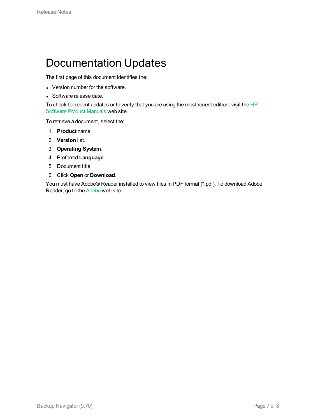### <span id="page-6-0"></span>Documentation Updates

The first page of this document identifies the:

- Version number for the software.
- Software release date.

To check for recent updates or to verify that you are using the most recent edition, visit the [HP](http://h20230.www2.hp.com/selfsolve/manuals) [Software](http://h20230.www2.hp.com/selfsolve/manuals) Product Manuals web site.

To retrieve a document, select the:

- 1. **Product** name.
- 2. **Version** list.
- 3. **Operating System**.
- 4. Preferred **Language**.
- 5. Document title.
- 6. Click **Open** or **Download**.

You must have Adobe® Reader installed to view files in PDF format (\*.pdf). To download Adobe Reader, go to the [Adobe](http://www.adobe.com/) web site.